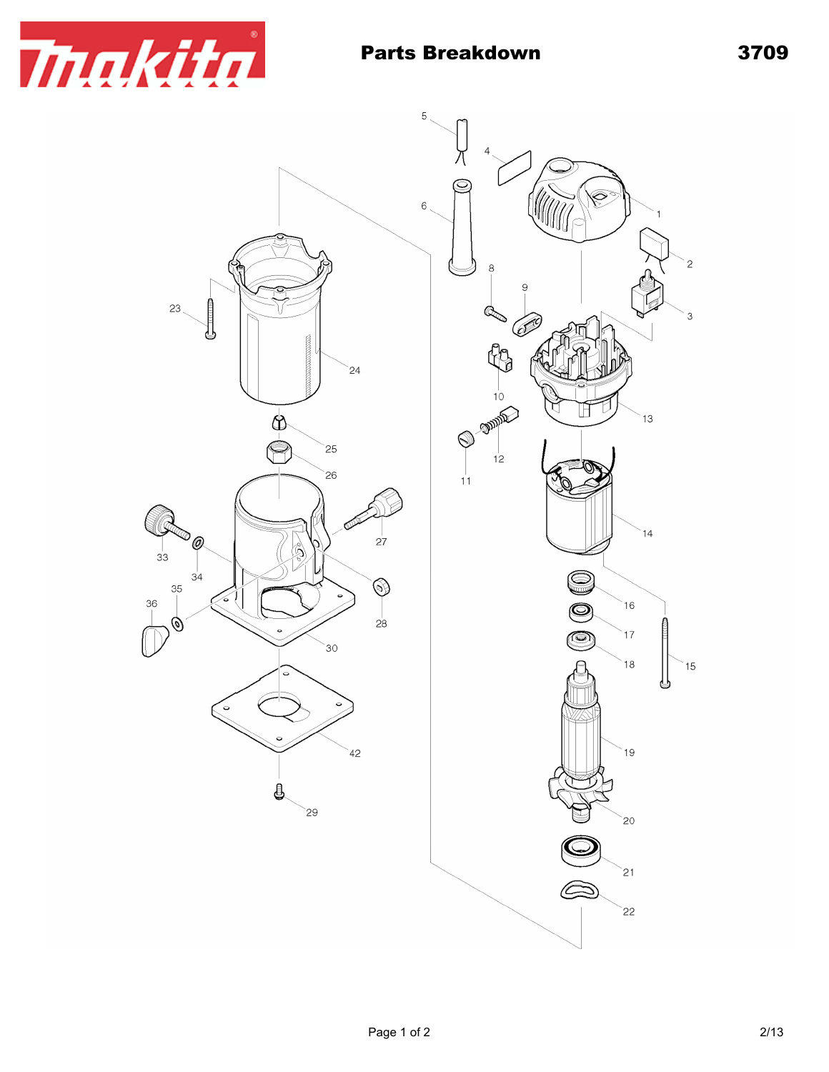

## Parts Breakdown 3709